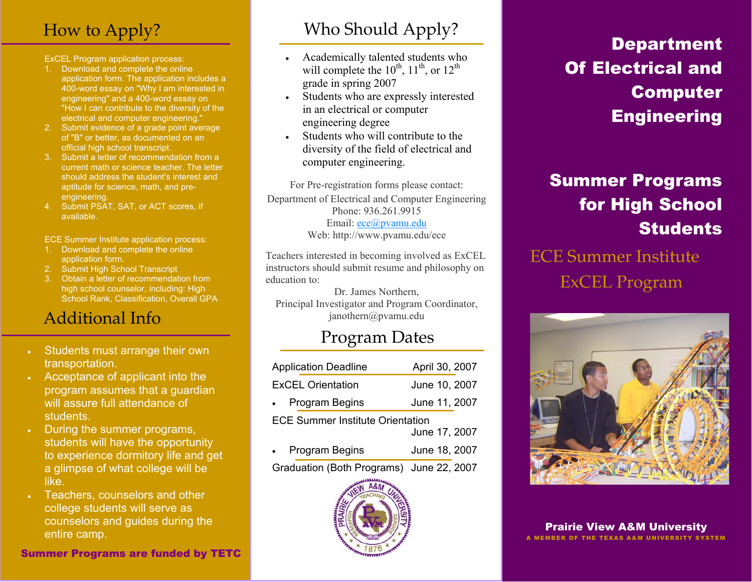# How to Apply?

ExCEL Program application process:

- 1. Download and complete the online application form. The application includes a 400-word essay on "Why I am interested in engineering" and a 400-word essay on "How I can contribute to the diversity of the electrical and computer engineering."
- 2. Submit evidence of a grade point average of "B" or better, as documented on an official high school transcript.
- 3. Submit a letter of recommendation from a current math or science teacher. The letter should address the student's interest and aptitude for science, math, and preengineering.
- 4. Submit PSAT, SAT, or ACT scores, if available.

ECE Summer Institute application process:

- 1. Download and complete the online application form.
- 2. Submit High School Transcript
- 3. Obtain a letter of recommendation from high school counselor, including: High School Rank, Classification, Overall GPA

# Additional Info

- Students must arrange their own transportation.
- ! Acceptance of applicant into the program assumes that a guardian will assure full attendance of students.
- ! During the summer programs, students will have the opportunity to experience dormitory life and get a glimpse of what college will be like.
- ! Teachers, counselors and other college students will serve as counselors and guides during the

#### Summer Programs are funded by TETC

# Who Should Apply?

- ! Academically talented students who will complete the  $10^{th}$ ,  $11^{th}$ , or  $12^{th}$ grade in spring 2007
- Students who are expressly interested in an electrical or computer engineering degree
- Students who will contribute to the diversity of the field of electrical and computer engineering.

For Pre-registration forms please contact: Department of Electrical and Computer Engineering Phone: 936.261.9915 Email: ece@pvamu.edu Web: http://www.pvamu.edu/ece

Teachers interested in becoming involved as ExCEL instructors should submit resume and philosophy on education to:

Dr. James Northern, Principal Investigator and Program Coordinator, janothern@pvamu.edu

### Program Dates

| <b>Application Deadline</b>                              | April 30, 2007 |  |
|----------------------------------------------------------|----------------|--|
| <b>ExCEL Orientation</b>                                 | June 10, 2007  |  |
| • Program Begins                                         | June 11, 2007  |  |
| <b>ECE Summer Institute Orientation</b><br>June 17, 2007 |                |  |

| <b>Program Begins</b> | June 18, 2007 |
|-----------------------|---------------|
|                       |               |

Graduation (Both Programs) June 22, 2007



# **Department** Of Electrical and Computer **Engineering**

# Summer Programs for High School **Students**

ECE Summer Institute ExCEL Program



entire camp. The camp of the camp. The camp of the camp. The camp of the camp of the camp.